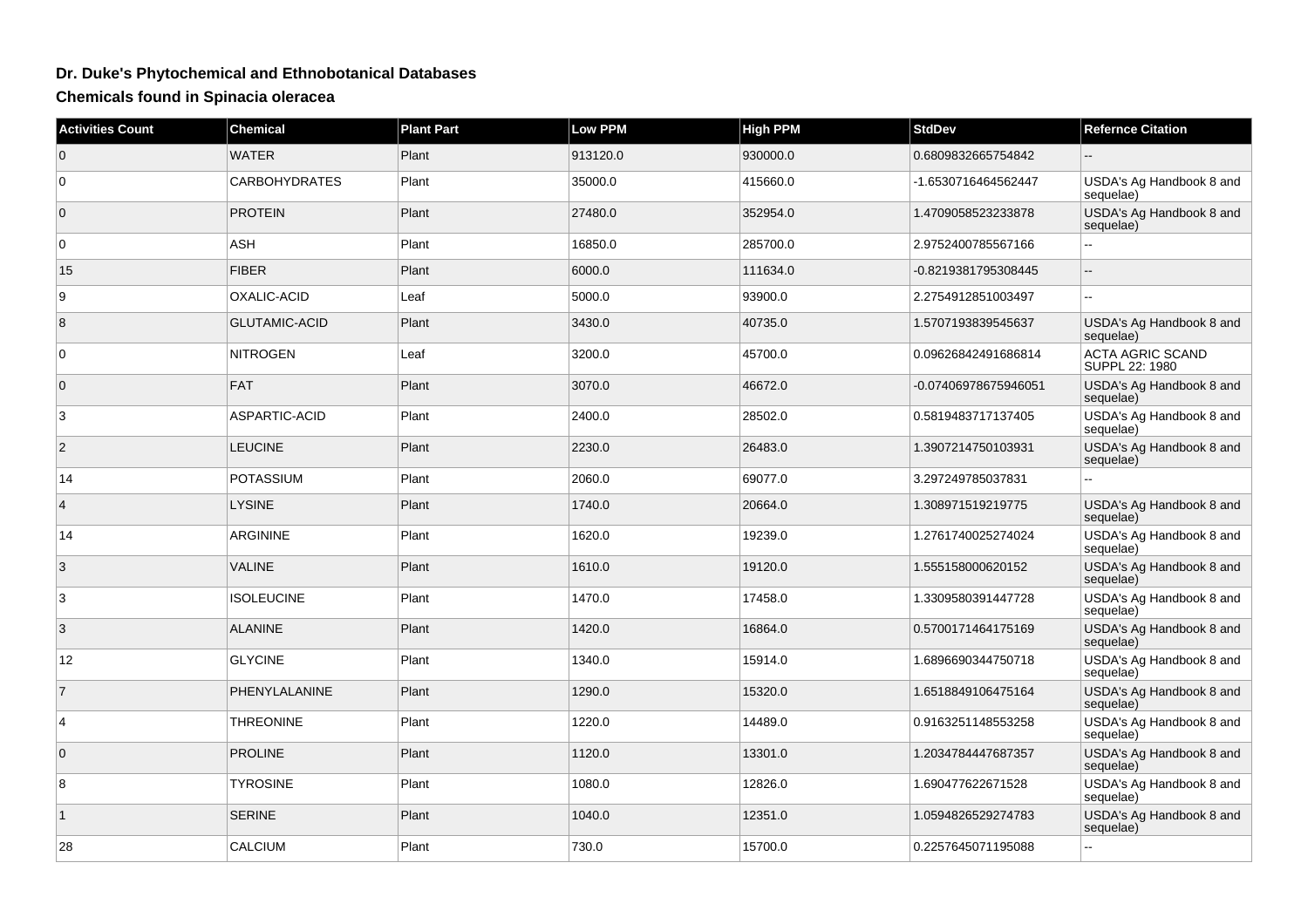## **Dr. Duke's Phytochemical and Ethnobotanical Databases**

**Chemicals found in Spinacia oleracea**

| <b>Activities Count</b> | Chemical             | <b>Plant Part</b> | Low PPM  | <b>High PPM</b> | <b>StdDev</b>        | <b>Refernce Citation</b>                  |
|-------------------------|----------------------|-------------------|----------|-----------------|----------------------|-------------------------------------------|
| $\overline{0}$          | <b>WATER</b>         | Plant             | 913120.0 | 930000.0        | 0.6809832665754842   |                                           |
| $\overline{0}$          | <b>CARBOHYDRATES</b> | Plant             | 35000.0  | 415660.0        | -1.6530716464562447  | USDA's Ag Handbook 8 and<br>sequelae)     |
| $\overline{0}$          | <b>PROTEIN</b>       | Plant             | 27480.0  | 352954.0        | 1.4709058523233878   | USDA's Ag Handbook 8 and<br>sequelae)     |
| $\overline{0}$          | <b>ASH</b>           | Plant             | 16850.0  | 285700.0        | 2.9752400785567166   | Ξ.                                        |
| 15                      | <b>FIBER</b>         | Plant             | 6000.0   | 111634.0        | -0.8219381795308445  |                                           |
| 9                       | OXALIC-ACID          | Leaf              | 5000.0   | 93900.0         | 2.2754912851003497   |                                           |
| 8                       | <b>GLUTAMIC-ACID</b> | Plant             | 3430.0   | 40735.0         | 1.5707193839545637   | USDA's Ag Handbook 8 and<br>sequelae)     |
| $\overline{0}$          | <b>NITROGEN</b>      | Leaf              | 3200.0   | 45700.0         | 0.09626842491686814  | <b>ACTA AGRIC SCAND</b><br>SUPPL 22: 1980 |
| $\overline{0}$          | <b>FAT</b>           | Plant             | 3070.0   | 46672.0         | -0.07406978675946051 | USDA's Ag Handbook 8 and<br>sequelae)     |
| 3                       | ASPARTIC-ACID        | Plant             | 2400.0   | 28502.0         | 0.5819483717137405   | USDA's Ag Handbook 8 and<br>sequelae)     |
| $\overline{2}$          | <b>LEUCINE</b>       | Plant             | 2230.0   | 26483.0         | 1.3907214750103931   | USDA's Ag Handbook 8 and<br>sequelae)     |
| 14                      | <b>POTASSIUM</b>     | Plant             | 2060.0   | 69077.0         | 3.297249785037831    | $\overline{a}$                            |
| $\overline{4}$          | <b>LYSINE</b>        | Plant             | 1740.0   | 20664.0         | 1.308971519219775    | USDA's Ag Handbook 8 and<br>sequelae)     |
| 14                      | ARGININE             | Plant             | 1620.0   | 19239.0         | 1.2761740025274024   | USDA's Ag Handbook 8 and<br>sequelae)     |
| 3                       | <b>VALINE</b>        | Plant             | 1610.0   | 19120.0         | 1.555158000620152    | USDA's Ag Handbook 8 and<br>sequelae)     |
| 3                       | <b>ISOLEUCINE</b>    | Plant             | 1470.0   | 17458.0         | 1.3309580391447728   | USDA's Ag Handbook 8 and<br>sequelae)     |
| 3                       | <b>ALANINE</b>       | Plant             | 1420.0   | 16864.0         | 0.5700171464175169   | USDA's Ag Handbook 8 and<br>sequelae)     |
| 12                      | <b>GLYCINE</b>       | Plant             | 1340.0   | 15914.0         | 1.6896690344750718   | USDA's Ag Handbook 8 and<br>sequelae)     |
| $\overline{7}$          | PHENYLALANINE        | Plant             | 1290.0   | 15320.0         | 1.6518849106475164   | USDA's Ag Handbook 8 and<br>sequelae)     |
| $\overline{4}$          | <b>THREONINE</b>     | Plant             | 1220.0   | 14489.0         | 0.9163251148553258   | USDA's Ag Handbook 8 and<br>sequelae)     |
| $\overline{0}$          | <b>PROLINE</b>       | Plant             | 1120.0   | 13301.0         | 1.2034784447687357   | USDA's Ag Handbook 8 and<br>sequelae)     |
| 8                       | <b>TYROSINE</b>      | Plant             | 1080.0   | 12826.0         | 1.690477622671528    | USDA's Ag Handbook 8 and<br>sequelae)     |
| $\mathbf{1}$            | <b>SERINE</b>        | Plant             | 1040.0   | 12351.0         | 1.0594826529274783   | USDA's Ag Handbook 8 and<br>sequelae)     |
| 28                      | <b>CALCIUM</b>       | Plant             | 730.0    | 15700.0         | 0.2257645071195088   | Ξ.                                        |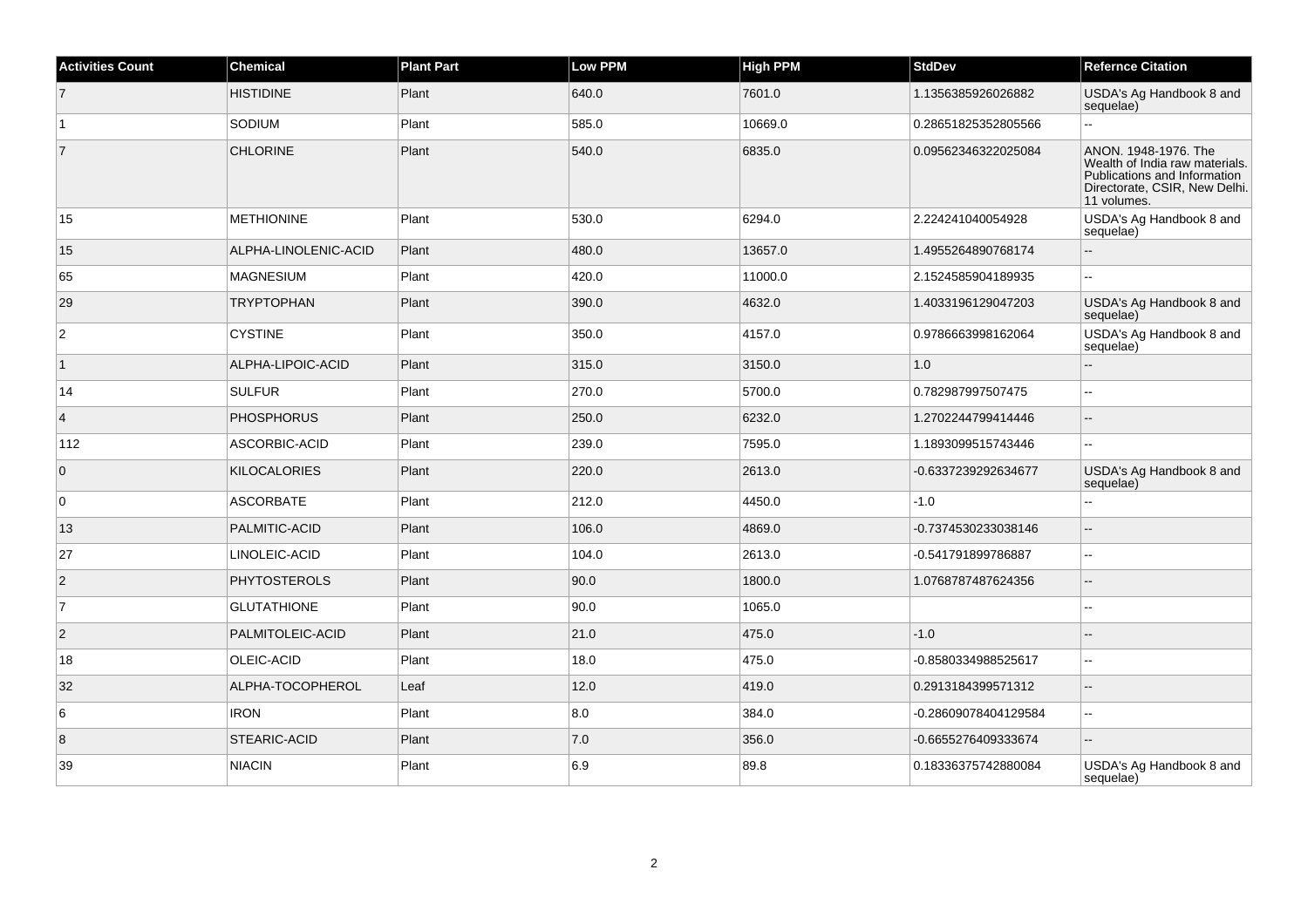| <b>Activities Count</b> | <b>Chemical</b>      | <b>Plant Part</b> | <b>Low PPM</b> | <b>High PPM</b> | <b>StdDev</b>        | <b>Refernce Citation</b>                                                                                                               |
|-------------------------|----------------------|-------------------|----------------|-----------------|----------------------|----------------------------------------------------------------------------------------------------------------------------------------|
| $\overline{7}$          | <b>HISTIDINE</b>     | Plant             | 640.0          | 7601.0          | 1.1356385926026882   | USDA's Ag Handbook 8 and<br>sequelae)                                                                                                  |
| $\overline{1}$          | SODIUM               | Plant             | 585.0          | 10669.0         | 0.28651825352805566  | $\overline{a}$                                                                                                                         |
| $\overline{7}$          | <b>CHLORINE</b>      | Plant             | 540.0          | 6835.0          | 0.09562346322025084  | ANON. 1948-1976. The<br>Wealth of India raw materials.<br>Publications and Information<br>Directorate, CSIR, New Delhi.<br>11 volumes. |
| 15                      | <b>METHIONINE</b>    | Plant             | 530.0          | 6294.0          | 2.224241040054928    | USDA's Ag Handbook 8 and<br>sequelae)                                                                                                  |
| 15                      | ALPHA-LINOLENIC-ACID | Plant             | 480.0          | 13657.0         | 1.4955264890768174   | $\sim$                                                                                                                                 |
| 65                      | <b>MAGNESIUM</b>     | Plant             | 420.0          | 11000.0         | 2.1524585904189935   | ÷.                                                                                                                                     |
| 29                      | <b>TRYPTOPHAN</b>    | Plant             | 390.0          | 4632.0          | 1.4033196129047203   | USDA's Ag Handbook 8 and<br>sequelae)                                                                                                  |
| $\overline{2}$          | <b>CYSTINE</b>       | Plant             | 350.0          | 4157.0          | 0.9786663998162064   | USDA's Ag Handbook 8 and<br>sequelae)                                                                                                  |
| $\mathbf{1}$            | ALPHA-LIPOIC-ACID    | Plant             | 315.0          | 3150.0          | 1.0                  |                                                                                                                                        |
| 14                      | <b>SULFUR</b>        | Plant             | 270.0          | 5700.0          | 0.782987997507475    | $\overline{a}$                                                                                                                         |
| $\vert$ 4               | <b>PHOSPHORUS</b>    | Plant             | 250.0          | 6232.0          | 1.2702244799414446   | $\overline{a}$                                                                                                                         |
| 112                     | ASCORBIC-ACID        | Plant             | 239.0          | 7595.0          | 1.1893099515743446   | $\sim$                                                                                                                                 |
| $\overline{0}$          | <b>KILOCALORIES</b>  | Plant             | 220.0          | 2613.0          | -0.6337239292634677  | USDA's Ag Handbook 8 and<br>sequelae)                                                                                                  |
| $\overline{0}$          | <b>ASCORBATE</b>     | Plant             | 212.0          | 4450.0          | $-1.0$               |                                                                                                                                        |
| 13                      | PALMITIC-ACID        | Plant             | 106.0          | 4869.0          | -0.7374530233038146  | $\sim$                                                                                                                                 |
| 27                      | LINOLEIC-ACID        | Plant             | 104.0          | 2613.0          | -0.541791899786887   |                                                                                                                                        |
| $\vert$ 2               | PHYTOSTEROLS         | Plant             | 90.0           | 1800.0          | 1.0768787487624356   |                                                                                                                                        |
| 7                       | <b>GLUTATHIONE</b>   | Plant             | 90.0           | 1065.0          |                      | $\sim$                                                                                                                                 |
| $ 2\rangle$             | PALMITOLEIC-ACID     | Plant             | 21.0           | 475.0           | $-1.0$               |                                                                                                                                        |
| 18                      | OLEIC-ACID           | Plant             | 18.0           | 475.0           | -0.8580334988525617  |                                                                                                                                        |
| 32                      | ALPHA-TOCOPHEROL     | Leaf              | 12.0           | 419.0           | 0.2913184399571312   | $\sim$                                                                                                                                 |
| 6                       | <b>IRON</b>          | Plant             | 8.0            | 384.0           | -0.28609078404129584 | $\overline{\phantom{a}}$                                                                                                               |
| 8                       | STEARIC-ACID         | Plant             | $7.0\,$        | 356.0           | -0.6655276409333674  | $\overline{a}$                                                                                                                         |
| 39                      | <b>NIACIN</b>        | Plant             | 6.9            | 89.8            | 0.18336375742880084  | USDA's Ag Handbook 8 and<br>sequelae)                                                                                                  |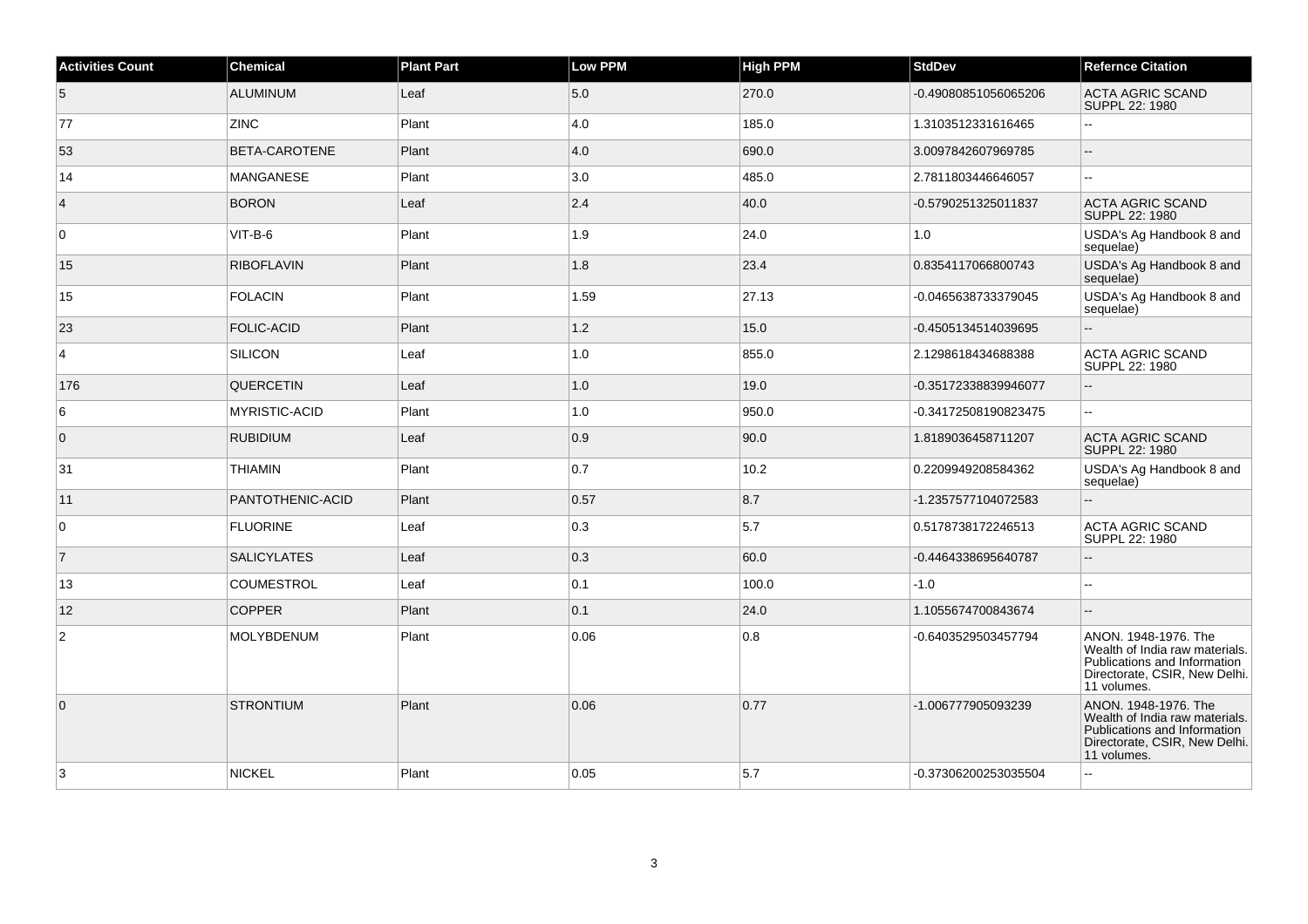| <b>Activities Count</b> | <b>Chemical</b>      | <b>Plant Part</b> | <b>Low PPM</b> | <b>High PPM</b> | <b>StdDev</b>        | <b>Refernce Citation</b>                                                                                                               |
|-------------------------|----------------------|-------------------|----------------|-----------------|----------------------|----------------------------------------------------------------------------------------------------------------------------------------|
| 5                       | <b>ALUMINUM</b>      | Leaf              | 5.0            | 270.0           | -0.49080851056065206 | <b>ACTA AGRIC SCAND</b><br>SUPPL 22: 1980                                                                                              |
| 77                      | <b>ZINC</b>          | Plant             | 4.0            | 185.0           | 1.3103512331616465   | ۵.                                                                                                                                     |
| 53                      | <b>BETA-CAROTENE</b> | Plant             | 4.0            | 690.0           | 3.0097842607969785   | Ξ.                                                                                                                                     |
| 14                      | MANGANESE            | Plant             | 3.0            | 485.0           | 2.7811803446646057   | ۵.                                                                                                                                     |
| $\overline{4}$          | <b>BORON</b>         | Leaf              | 2.4            | 40.0            | -0.5790251325011837  | <b>ACTA AGRIC SCAND</b><br>SUPPL 22: 1980                                                                                              |
| $\mathbf 0$             | $VIT-B-6$            | Plant             | 1.9            | 24.0            | $1.0$                | USDA's Ag Handbook 8 and<br>sequelae)                                                                                                  |
| 15                      | <b>RIBOFLAVIN</b>    | Plant             | 1.8            | 23.4            | 0.8354117066800743   | USDA's Ag Handbook 8 and<br>sequelae)                                                                                                  |
| 15                      | <b>FOLACIN</b>       | Plant             | 1.59           | 27.13           | -0.0465638733379045  | USDA's Ag Handbook 8 and<br>sequelae)                                                                                                  |
| 23                      | <b>FOLIC-ACID</b>    | Plant             | 1.2            | 15.0            | -0.4505134514039695  | $\overline{a}$                                                                                                                         |
| $\overline{4}$          | SILICON              | Leaf              | 1.0            | 855.0           | 2.1298618434688388   | ACTA AGRIC SCAND<br>SUPPL 22: 1980                                                                                                     |
| 176                     | <b>QUERCETIN</b>     | Leaf              | 1.0            | 19.0            | -0.35172338839946077 |                                                                                                                                        |
| 6                       | <b>MYRISTIC-ACID</b> | Plant             | 1.0            | 950.0           | -0.34172508190823475 | 44                                                                                                                                     |
| $\overline{0}$          | <b>RUBIDIUM</b>      | Leaf              | 0.9            | 90.0            | 1.8189036458711207   | <b>ACTA AGRIC SCAND</b><br>SUPPL 22: 1980                                                                                              |
| 31                      | <b>THIAMIN</b>       | Plant             | 0.7            | 10.2            | 0.2209949208584362   | USDA's Ag Handbook 8 and<br>sequelae)                                                                                                  |
| 11                      | PANTOTHENIC-ACID     | Plant             | 0.57           | 8.7             | -1.2357577104072583  | $\overline{a}$                                                                                                                         |
| 0                       | <b>FLUORINE</b>      | Leaf              | 0.3            | 5.7             | 0.5178738172246513   | ACTA AGRIC SCAND<br>SUPPL 22: 1980                                                                                                     |
| $\vert$ 7               | <b>SALICYLATES</b>   | Leaf              | 0.3            | 60.0            | -0.4464338695640787  | $\overline{a}$                                                                                                                         |
| 13                      | <b>COUMESTROL</b>    | Leaf              | 0.1            | 100.0           | $-1.0$               | ۵۵                                                                                                                                     |
| 12                      | <b>COPPER</b>        | Plant             | 0.1            | 24.0            | 1.1055674700843674   |                                                                                                                                        |
| 2                       | MOLYBDENUM           | Plant             | 0.06           | 0.8             | -0.6403529503457794  | ANON. 1948-1976. The<br>Wealth of India raw materials.<br>Publications and Information<br>Directorate, CSIR, New Delhi.<br>11 volumes. |
| $\overline{0}$          | <b>STRONTIUM</b>     | Plant             | 0.06           | 0.77            | -1.006777905093239   | ANON. 1948-1976. The<br>Wealth of India raw materials.<br>Publications and Information<br>Directorate, CSIR, New Delhi.<br>11 volumes. |
| 3                       | <b>NICKEL</b>        | Plant             | 0.05           | 5.7             | -0.37306200253035504 | L.                                                                                                                                     |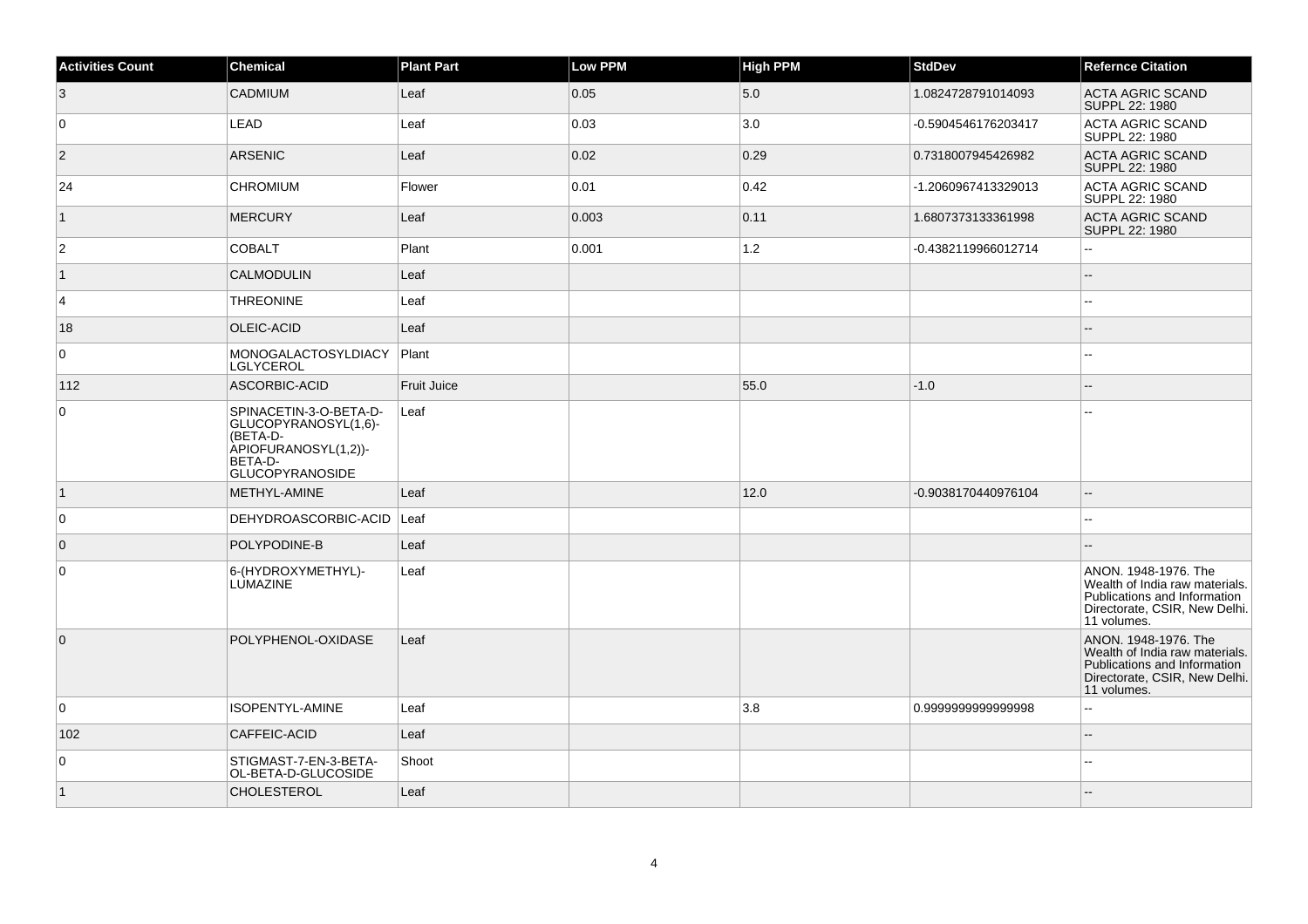| <b>Activities Count</b> | Chemical                                                                                                                | <b>Plant Part</b> | <b>Low PPM</b> | <b>High PPM</b> | <b>StdDev</b>       | <b>Refernce Citation</b>                                                                                                               |
|-------------------------|-------------------------------------------------------------------------------------------------------------------------|-------------------|----------------|-----------------|---------------------|----------------------------------------------------------------------------------------------------------------------------------------|
| 3                       | <b>CADMIUM</b>                                                                                                          | Leaf              | 0.05           | 5.0             | 1.0824728791014093  | <b>ACTA AGRIC SCAND</b><br>SUPPL 22: 1980                                                                                              |
| 0                       | LEAD                                                                                                                    | Leaf              | 0.03           | 3.0             | -0.5904546176203417 | <b>ACTA AGRIC SCAND</b><br>SUPPL 22: 1980                                                                                              |
| $\vert$ 2               | <b>ARSENIC</b>                                                                                                          | Leaf              | 0.02           | 0.29            | 0.7318007945426982  | <b>ACTA AGRIC SCAND</b><br>SUPPL 22: 1980                                                                                              |
| 24                      | <b>CHROMIUM</b>                                                                                                         | Flower            | 0.01           | 0.42            | -1.2060967413329013 | ACTA AGRIC SCAND<br>SUPPL 22: 1980                                                                                                     |
| $\mathbf{1}$            | <b>MERCURY</b>                                                                                                          | Leaf              | 0.003          | 0.11            | 1.6807373133361998  | <b>ACTA AGRIC SCAND</b><br>SUPPL 22: 1980                                                                                              |
| $\overline{2}$          | <b>COBALT</b>                                                                                                           | Plant             | 0.001          | 1.2             | -0.4382119966012714 | Ξ.                                                                                                                                     |
| $\vert$ 1               | <b>CALMODULIN</b>                                                                                                       | Leaf              |                |                 |                     | $-$                                                                                                                                    |
| 4                       | <b>THREONINE</b>                                                                                                        | Leaf              |                |                 |                     | $\overline{a}$                                                                                                                         |
| 18                      | OLEIC-ACID                                                                                                              | Leaf              |                |                 |                     |                                                                                                                                        |
| $\mathbf 0$             | MONOGALACTOSYLDIACY<br>LGLYCEROL                                                                                        | Plant             |                |                 |                     | --                                                                                                                                     |
| 112                     | ASCORBIC-ACID                                                                                                           | Fruit Juice       |                | 55.0            | $-1.0$              |                                                                                                                                        |
| $\mathbf 0$             | SPINACETIN-3-O-BETA-D-<br>GLUCOPYRANOSYL(1,6)-<br>(BETA-D-<br>ÀPIOFURANOSYL(1,2))-<br>BETA-D-<br><b>GLUCOPYRANOSIDE</b> | Leaf              |                |                 |                     |                                                                                                                                        |
| $\vert$ 1               | METHYL-AMINE                                                                                                            | Leaf              |                | 12.0            | -0.9038170440976104 | $\overline{\phantom{a}}$                                                                                                               |
| 0                       | DEHYDROASCORBIC-ACID                                                                                                    | Leaf              |                |                 |                     | $\sim$                                                                                                                                 |
| $\overline{0}$          | POLYPODINE-B                                                                                                            | Leaf              |                |                 |                     |                                                                                                                                        |
| 0                       | 6-(HYDROXYMETHYL)-<br>LUMAZINE                                                                                          | Leaf              |                |                 |                     | ANON. 1948-1976. The<br>Wealth of India raw materials.<br>Publications and Information<br>Directorate, CSIR, New Delhi.<br>11 volumes. |
| $\overline{0}$          | POLYPHENOL-OXIDASE                                                                                                      | Leaf              |                |                 |                     | ANON. 1948-1976. The<br>Wealth of India raw materials.<br>Publications and Information<br>Directorate, CSIR, New Delhi.<br>11 volumes. |
| 0                       | ISOPENTYL-AMINE                                                                                                         | Leaf              |                | 3.8             | 0.999999999999998   | $\overline{a}$                                                                                                                         |
| 102                     | CAFFEIC-ACID                                                                                                            | Leaf              |                |                 |                     | --                                                                                                                                     |
| 0                       | STIGMAST-7-EN-3-BETA-<br>OL-BETA-D-GLUCOSIDE                                                                            | Shoot             |                |                 |                     | ۵.                                                                                                                                     |
| $\vert$ 1               | <b>CHOLESTEROL</b>                                                                                                      | Leaf              |                |                 |                     |                                                                                                                                        |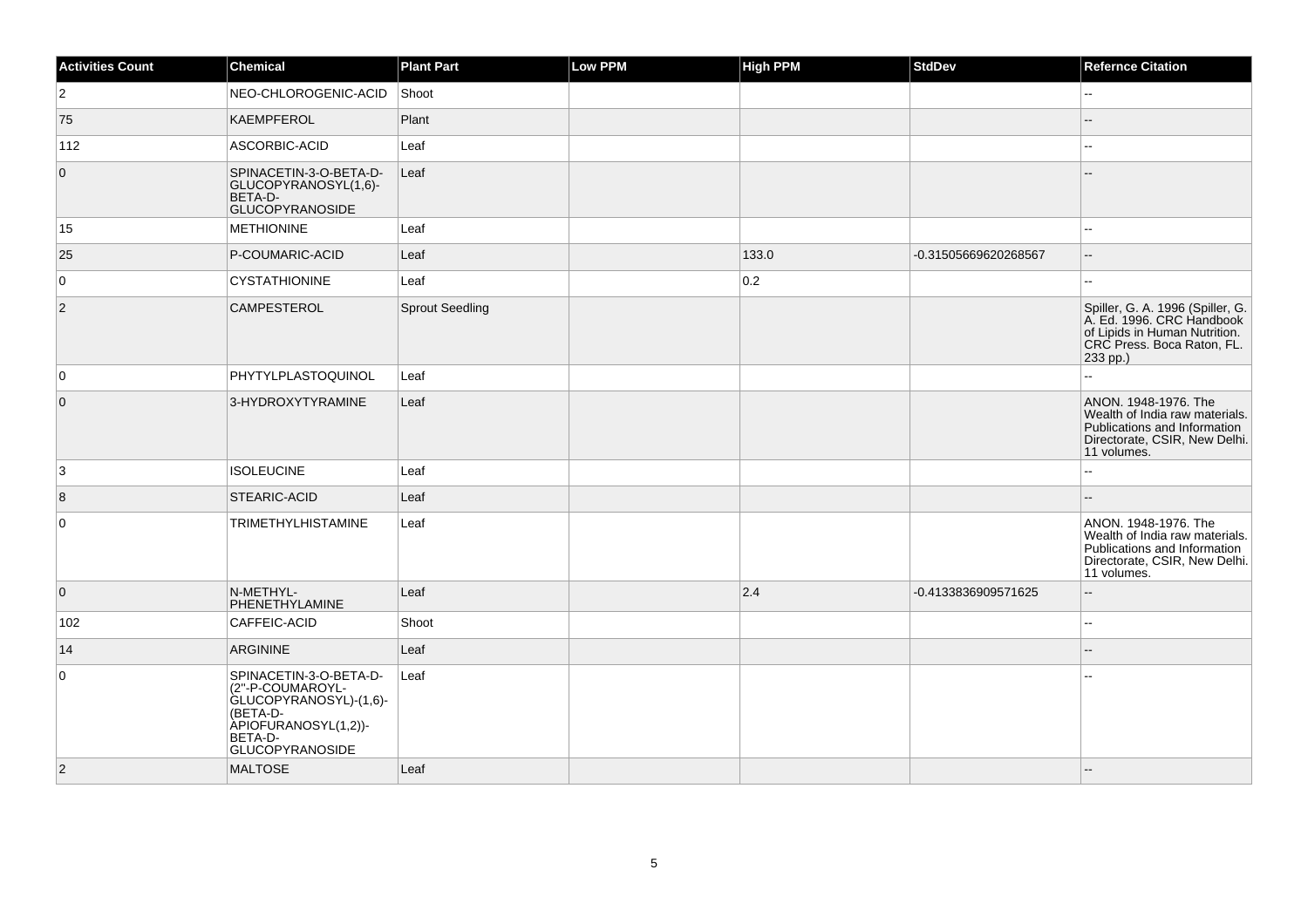| <b>Activities Count</b> | <b>Chemical</b>                                                                                                                               | <b>Plant Part</b> | Low PPM | <b>High PPM</b> | StdDev               | <b>Refernce Citation</b>                                                                                                                 |
|-------------------------|-----------------------------------------------------------------------------------------------------------------------------------------------|-------------------|---------|-----------------|----------------------|------------------------------------------------------------------------------------------------------------------------------------------|
| $\vert$ 2               | NEO-CHLOROGENIC-ACID                                                                                                                          | Shoot             |         |                 |                      | L.                                                                                                                                       |
| 75                      | KAEMPFEROL                                                                                                                                    | Plant             |         |                 |                      |                                                                                                                                          |
| 112                     | ASCORBIC-ACID                                                                                                                                 | Leaf              |         |                 |                      | 44                                                                                                                                       |
| $\overline{0}$          | SPINACETIN-3-O-BETA-D-<br>GLUCOPYRANOSYL(1,6)-<br>BETA-D-<br><b>GLUCOPYRANOSIDE</b>                                                           | Leaf              |         |                 |                      |                                                                                                                                          |
| 15                      | <b>METHIONINE</b>                                                                                                                             | Leaf              |         |                 |                      |                                                                                                                                          |
| 25                      | P-COUMARIC-ACID                                                                                                                               | Leaf              |         | 133.0           | -0.31505669620268567 | $\overline{a}$                                                                                                                           |
| 0                       | <b>CYSTATHIONINE</b>                                                                                                                          | Leaf              |         | 0.2             |                      |                                                                                                                                          |
| $ 2\rangle$             | <b>CAMPESTEROL</b>                                                                                                                            | Sprout Seedling   |         |                 |                      | Spiller, G. A. 1996 (Spiller, G.<br>A. Ed. 1996. CRC Handbook<br>of Lipids in Human Nutrition.<br>CRC Press. Boca Raton, FL.<br>233 pp.) |
| 0                       | PHYTYLPLASTOQUINOL                                                                                                                            | Leaf              |         |                 |                      | шш.                                                                                                                                      |
| $\overline{0}$          | 3-HYDROXYTYRAMINE                                                                                                                             | Leaf              |         |                 |                      | ANON. 1948-1976. The<br>Wealth of India raw materials.<br>Publications and Information<br>Directorate, CSIR, New Delhi.<br>11 volumes.   |
| 3                       | <b>ISOLEUCINE</b>                                                                                                                             | Leaf              |         |                 |                      | ۵.                                                                                                                                       |
| $\overline{8}$          | STEARIC-ACID                                                                                                                                  | Leaf              |         |                 |                      |                                                                                                                                          |
| $\overline{0}$          | <b>TRIMETHYLHISTAMINE</b>                                                                                                                     | Leaf              |         |                 |                      | ANON. 1948-1976. The<br>Wealth of India raw materials.<br>Publications and Information<br>Directorate, CSIR, New Delhi.<br>11 volumes.   |
| $\overline{0}$          | N-METHYL-<br>PHENETHYLAMINE                                                                                                                   | Leaf              |         | 2.4             | -0.4133836909571625  | ۵.                                                                                                                                       |
| 102                     | CAFFEIC-ACID                                                                                                                                  | Shoot             |         |                 |                      | 44                                                                                                                                       |
| 14                      | <b>ARGININE</b>                                                                                                                               | Leaf              |         |                 |                      | --                                                                                                                                       |
| $\mathbf 0$             | SPINACETIN-3-O-BETA-D-<br>(2"-P-COUMAROYL-<br>GLUCOPYRANOSYL)-(1,6)-<br>(BETA-D-<br>APIOFURANOSYL(1,2))-<br>BETA-D-<br><b>GLUCOPYRANOSIDE</b> | Leaf              |         |                 |                      |                                                                                                                                          |
| $ 2\rangle$             | <b>MALTOSE</b>                                                                                                                                | Leaf              |         |                 |                      |                                                                                                                                          |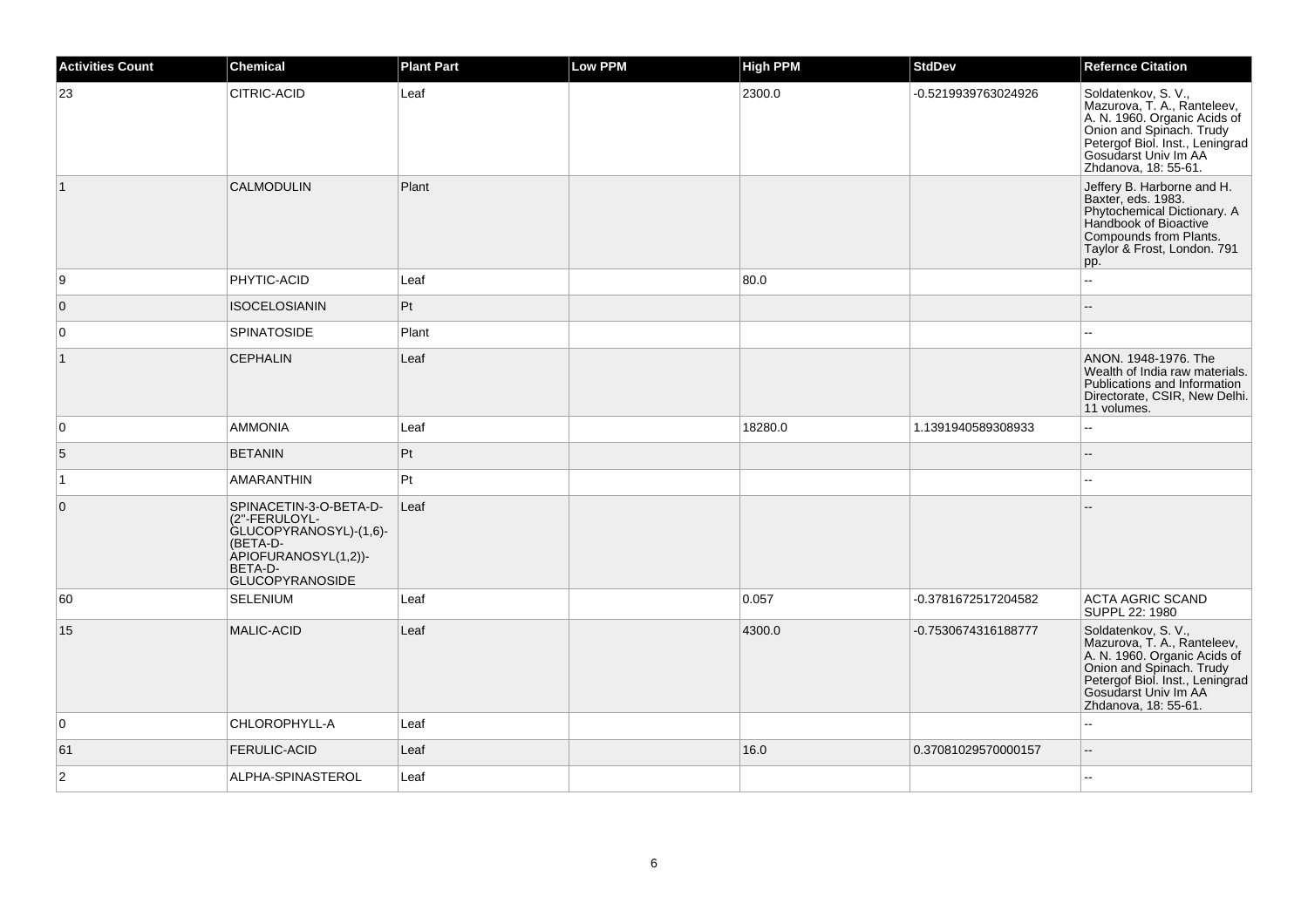| <b>Activities Count</b> | Chemical                                                                                                                                   | <b>Plant Part</b> | <b>Low PPM</b> | <b>High PPM</b> | <b>StdDev</b>       | <b>Refernce Citation</b>                                                                                                                                                                          |
|-------------------------|--------------------------------------------------------------------------------------------------------------------------------------------|-------------------|----------------|-----------------|---------------------|---------------------------------------------------------------------------------------------------------------------------------------------------------------------------------------------------|
| 23                      | CITRIC-ACID                                                                                                                                | Leaf              |                | 2300.0          | -0.5219939763024926 | Soldatenkov, S. V.,<br>Mazurova, T. A., Ranteleev,<br>A. N. 1960. Organic Acids of<br>Onion and Spinach. Trudy<br>Petergof Biol. Inst., Leningrad<br>Gosudarst Univ Im AA<br>Zhdanova, 18: 55-61. |
| $\vert$ 1               | <b>CALMODULIN</b>                                                                                                                          | Plant             |                |                 |                     | Jeffery B. Harborne and H.<br>Baxter, eds. 1983.<br>Phytochemical Dictionary. A<br>Handbook of Bioactive<br>Compounds from Plants.<br>Taylor & Frost, London. 791<br>pp.                          |
| 9                       | PHYTIC-ACID                                                                                                                                | Leaf              |                | 80.0            |                     | $\sim$                                                                                                                                                                                            |
| $\overline{0}$          | <b>ISOCELOSIANIN</b>                                                                                                                       | Pt                |                |                 |                     |                                                                                                                                                                                                   |
| 0                       | <b>SPINATOSIDE</b>                                                                                                                         | Plant             |                |                 |                     |                                                                                                                                                                                                   |
| $\vert$ 1               | <b>CEPHALIN</b>                                                                                                                            | Leaf              |                |                 |                     | ANON. 1948-1976. The<br>Wealth of India raw materials.<br>Publications and Information<br>Directorate, CSIR, New Delhi.<br>11 volumes.                                                            |
| $\mathbf 0$             | <b>AMMONIA</b>                                                                                                                             | Leaf              |                | 18280.0         | 1.1391940589308933  | $\overline{\phantom{a}}$                                                                                                                                                                          |
| 5                       | <b>BETANIN</b>                                                                                                                             | Pt                |                |                 |                     |                                                                                                                                                                                                   |
| $\vert$ 1               | AMARANTHIN                                                                                                                                 | Pt                |                |                 |                     |                                                                                                                                                                                                   |
| $\mathbf 0$             | SPINACETIN-3-O-BETA-D-<br>(2"-FERULOYL-<br>GLUCOPYRANOSYL)-(1,6)-<br>(BETA-D-<br>APIOFURANOSYL(1,2))-<br>BETA-D-<br><b>GLUCOPYRANOSIDE</b> | Leaf              |                |                 |                     |                                                                                                                                                                                                   |
| 60                      | <b>SELENIUM</b>                                                                                                                            | Leaf              |                | 0.057           | -0.3781672517204582 | <b>ACTA AGRIC SCAND</b><br>SUPPL 22: 1980                                                                                                                                                         |
| 15                      | <b>MALIC-ACID</b>                                                                                                                          | Leaf              |                | 4300.0          | -0.7530674316188777 | Soldatenkov, S.V.,<br>Mazurova, T. A., Ranteleev,<br>A. N. 1960. Organic Acids of<br>Onion and Spinach. Trudy<br>Petergof Biol. Inst., Leningrad<br>Gosudarst Univ Im AA<br>Zhdanova, 18: 55-61.  |
| 0                       | CHLOROPHYLL-A                                                                                                                              | Leaf              |                |                 |                     |                                                                                                                                                                                                   |
| 61                      | <b>FERULIC-ACID</b>                                                                                                                        | Leaf              |                | 16.0            | 0.37081029570000157 | $\overline{a}$                                                                                                                                                                                    |
| $\overline{2}$          | ALPHA-SPINASTEROL                                                                                                                          | Leaf              |                |                 |                     | $\sim$                                                                                                                                                                                            |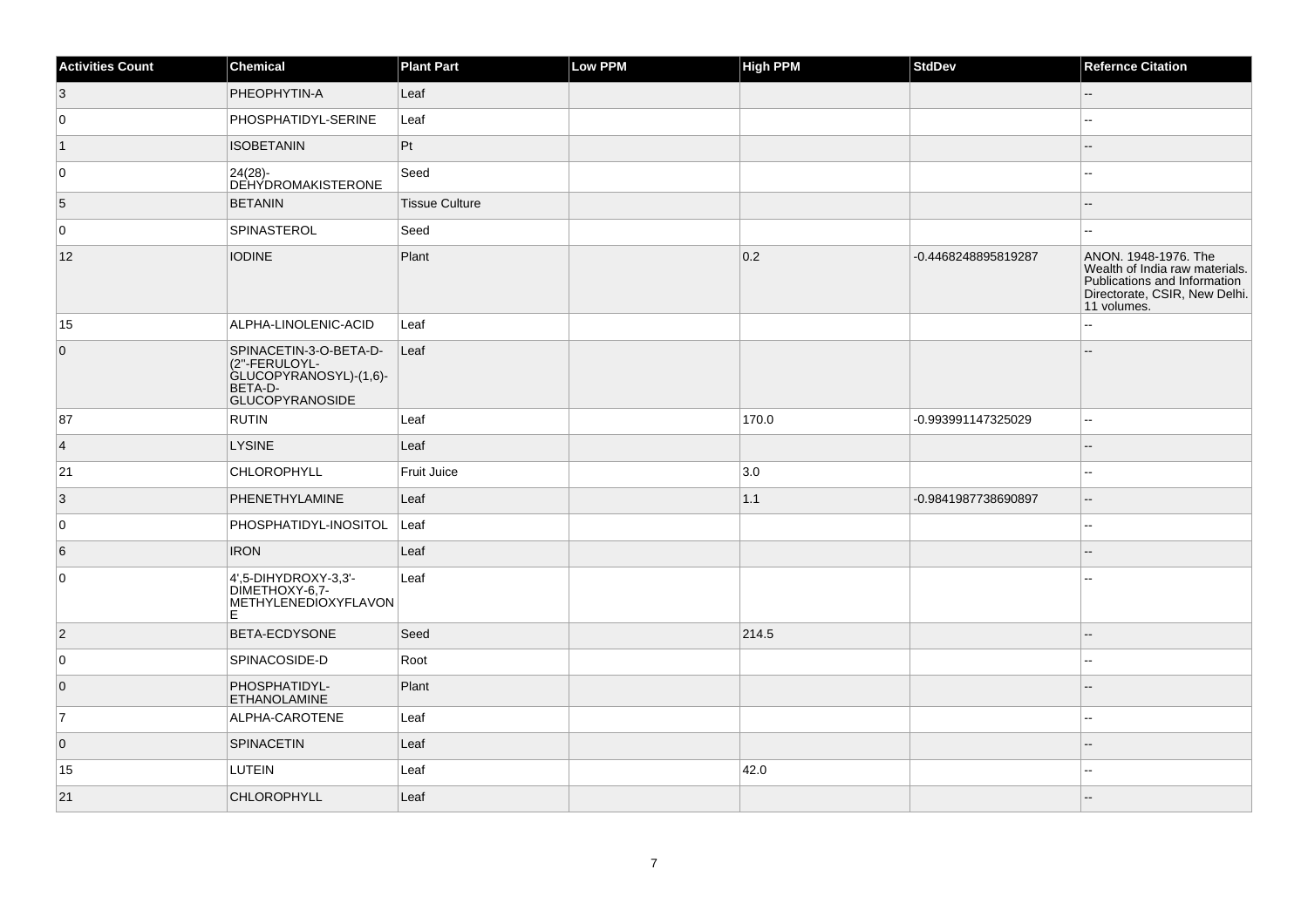| <b>Activities Count</b> | Chemical                                                                                               | <b>Plant Part</b>     | Low PPM | <b>High PPM</b> | StdDev              | <b>Refernce Citation</b>                                                                                                               |
|-------------------------|--------------------------------------------------------------------------------------------------------|-----------------------|---------|-----------------|---------------------|----------------------------------------------------------------------------------------------------------------------------------------|
| 3                       | PHEOPHYTIN-A                                                                                           | Leaf                  |         |                 |                     | $-$                                                                                                                                    |
| 0                       | PHOSPHATIDYL-SERINE                                                                                    | Leaf                  |         |                 |                     | --                                                                                                                                     |
| $\vert$ 1               | <b>ISOBETANIN</b>                                                                                      | Pt                    |         |                 |                     | --                                                                                                                                     |
| 0                       | $24(28) -$<br>DEHYDROMAKISTERONE                                                                       | Seed                  |         |                 |                     | ۵.                                                                                                                                     |
| 5                       | <b>BETANIN</b>                                                                                         | <b>Tissue Culture</b> |         |                 |                     | $=$                                                                                                                                    |
| 0                       | SPINASTEROL                                                                                            | Seed                  |         |                 |                     | $\overline{a}$                                                                                                                         |
| 12                      | <b>IODINE</b>                                                                                          | Plant                 |         | 0.2             | -0.4468248895819287 | ANON, 1948-1976. The<br>Wealth of India raw materials.<br>Publications and Information<br>Directorate, CSIR, New Delhi.<br>11 volumes. |
| 15                      | ALPHA-LINOLENIC-ACID                                                                                   | Leaf                  |         |                 |                     | ă.                                                                                                                                     |
| $\overline{0}$          | SPINACETIN-3-O-BETA-D-<br>(2"-FERULOYL-<br>GLUCOPYRANOSYL)-(1,6)-<br>BETA-D-<br><b>GLUCOPYRANOSIDE</b> | Leaf                  |         |                 |                     |                                                                                                                                        |
| 87                      | <b>RUTIN</b>                                                                                           | Leaf                  |         | 170.0           | -0.993991147325029  | --                                                                                                                                     |
| $\overline{4}$          | LYSINE                                                                                                 | Leaf                  |         |                 |                     |                                                                                                                                        |
| 21                      | <b>CHLOROPHYLL</b>                                                                                     | Fruit Juice           |         | 3.0             |                     | --                                                                                                                                     |
| $\vert 3 \vert$         | PHENETHYLAMINE                                                                                         | Leaf                  |         | 1.1             | -0.9841987738690897 | Ξ.                                                                                                                                     |
| 0                       | PHOSPHATIDYL-INOSITOL                                                                                  | Leaf                  |         |                 |                     | --                                                                                                                                     |
| 6                       | <b>IRON</b>                                                                                            | Leaf                  |         |                 |                     | $-$                                                                                                                                    |
| 0                       | $4,5$ -DIHYDROXY-3,3'-<br>DIMETHOXY-6,7-<br>METHYLENEDIOXYFLAVON<br>ΙE                                 | Leaf                  |         |                 |                     |                                                                                                                                        |
| $\vert$ 2               | <b>BETA-ECDYSONE</b>                                                                                   | Seed                  |         | 214.5           |                     |                                                                                                                                        |
| 0                       | <b>SPINACOSIDE-D</b>                                                                                   | Root                  |         |                 |                     | ۵.                                                                                                                                     |
| $\overline{0}$          | PHOSPHATIDYL-<br><b>ETHANOLAMINE</b>                                                                   | Plant                 |         |                 |                     |                                                                                                                                        |
| 7                       | ALPHA-CAROTENE                                                                                         | Leaf                  |         |                 |                     |                                                                                                                                        |
| $\overline{0}$          | <b>SPINACETIN</b>                                                                                      | Leaf                  |         |                 |                     |                                                                                                                                        |
| 15                      | LUTEIN                                                                                                 | Leaf                  |         | 42.0            |                     |                                                                                                                                        |
| 21                      | <b>CHLOROPHYLL</b>                                                                                     | Leaf                  |         |                 |                     |                                                                                                                                        |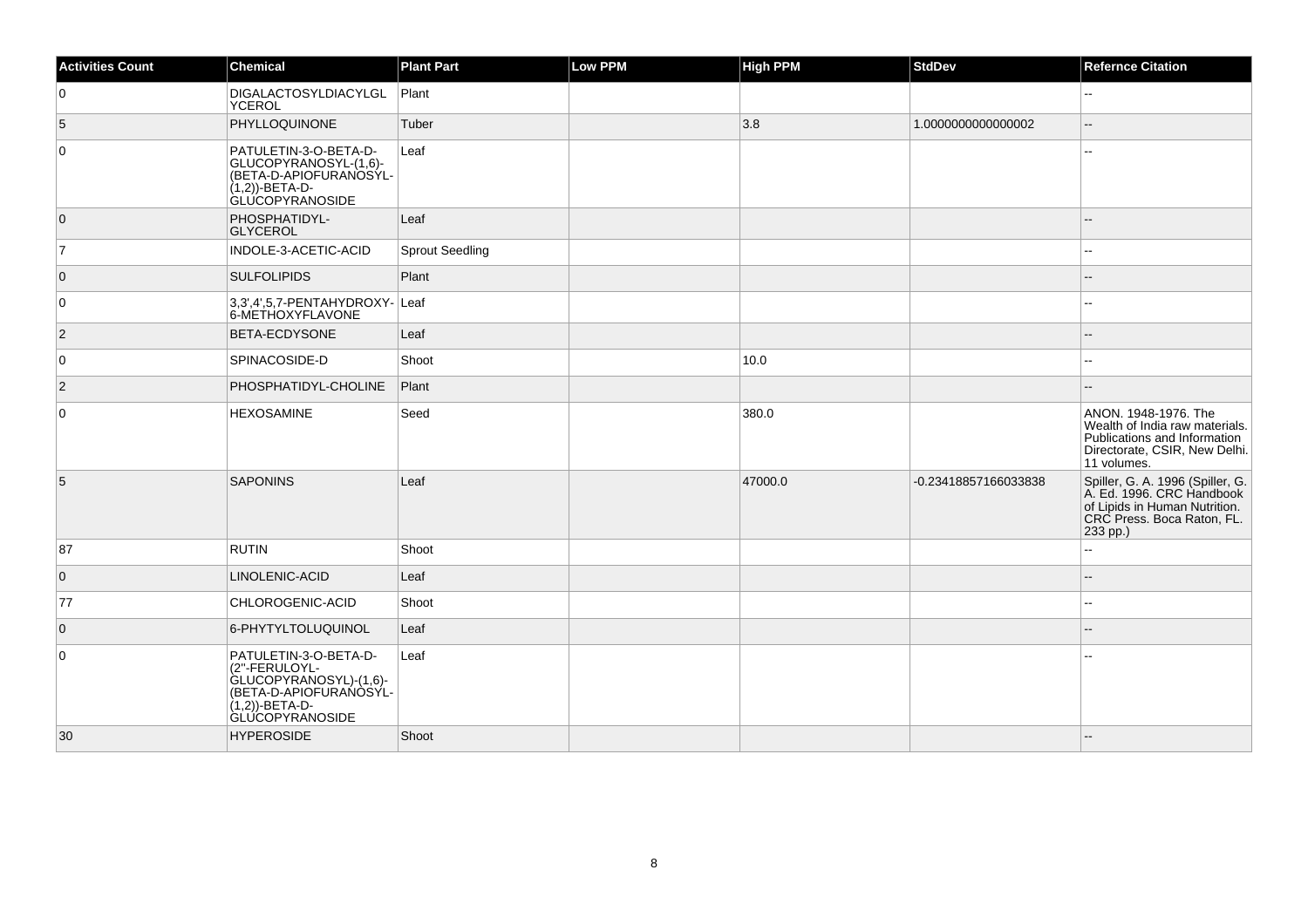| <b>Activities Count</b> | Chemical                                                                                                                                  | <b>Plant Part</b>      | Low PPM | <b>High PPM</b> | <b>StdDev</b>        | <b>Refernce Citation</b>                                                                                                                 |
|-------------------------|-------------------------------------------------------------------------------------------------------------------------------------------|------------------------|---------|-----------------|----------------------|------------------------------------------------------------------------------------------------------------------------------------------|
| 0                       | DIGALACTOSYLDIACYLGL<br>YCEROL                                                                                                            | Plant                  |         |                 |                      | $\sim$                                                                                                                                   |
| 5                       | PHYLLOQUINONE                                                                                                                             | Tuber                  |         | 3.8             | 1.0000000000000002   | Ξ.                                                                                                                                       |
| $\mathbf 0$             | PATULETIN-3-O-BETA-D-<br>GLUCOPYRANOSYL-(1,6)-<br>(BETA-D-APIOFURANOSYL-<br>(1,2))-BETA-D-<br>GLUCOPYRANOSIDE                             | Leaf                   |         |                 |                      |                                                                                                                                          |
| $\overline{0}$          | PHOSPHATIDYL-<br><b>GLYCEROL</b>                                                                                                          | Leaf                   |         |                 |                      |                                                                                                                                          |
| $\overline{7}$          | INDOLE-3-ACETIC-ACID                                                                                                                      | <b>Sprout Seedling</b> |         |                 |                      |                                                                                                                                          |
| $\overline{0}$          | <b>SULFOLIPIDS</b>                                                                                                                        | Plant                  |         |                 |                      |                                                                                                                                          |
| 0                       | 3,3',4',5,7-PENTAHYDROXY- Leaf<br>6-METHOXYFLAVONE                                                                                        |                        |         |                 |                      |                                                                                                                                          |
| $\vert$ 2               | <b>BETA-ECDYSONE</b>                                                                                                                      | Leaf                   |         |                 |                      |                                                                                                                                          |
| 0                       | <b>SPINACOSIDE-D</b>                                                                                                                      | Shoot                  |         | 10.0            |                      |                                                                                                                                          |
| $\vert$ 2               | PHOSPHATIDYL-CHOLINE                                                                                                                      | Plant                  |         |                 |                      |                                                                                                                                          |
| 0                       | <b>HEXOSAMINE</b>                                                                                                                         | Seed                   |         | 380.0           |                      | ANON. 1948-1976. The<br>Wealth of India raw materials.<br>Publications and Information<br>Directorate, CSIR, New Delhi.<br>11 volumes.   |
| 5                       | <b>SAPONINS</b>                                                                                                                           | Leaf                   |         | 47000.0         | -0.23418857166033838 | Spiller, G. A. 1996 (Spiller, G.<br>A. Ed. 1996. CRC Handbook<br>of Lipids in Human Nutrition.<br>CRC Press. Boca Raton, FL.<br>233 pp.) |
| 87                      | RUTIN                                                                                                                                     | Shoot                  |         |                 |                      |                                                                                                                                          |
| $\overline{0}$          | LINOLENIC-ACID                                                                                                                            | Leaf                   |         |                 |                      | $\sim$                                                                                                                                   |
| 77                      | CHLOROGENIC-ACID                                                                                                                          | Shoot                  |         |                 |                      |                                                                                                                                          |
| $\overline{0}$          | 6-PHYTYLTOLUQUINOL                                                                                                                        | Leaf                   |         |                 |                      |                                                                                                                                          |
| 0                       | PATULETIN-3-O-BETA-D-<br>(2"-FERULOYL-<br>GLUCOPYRANOSYL)-(1,6)-<br>(BETA-D-APIOFURAŃÒŚÝL-<br>$(1,2)$ )-BETA-D-<br><b>GLUCOPYRANOSIDE</b> | Leaf                   |         |                 |                      |                                                                                                                                          |
| 30                      | <b>HYPEROSIDE</b>                                                                                                                         | Shoot                  |         |                 |                      |                                                                                                                                          |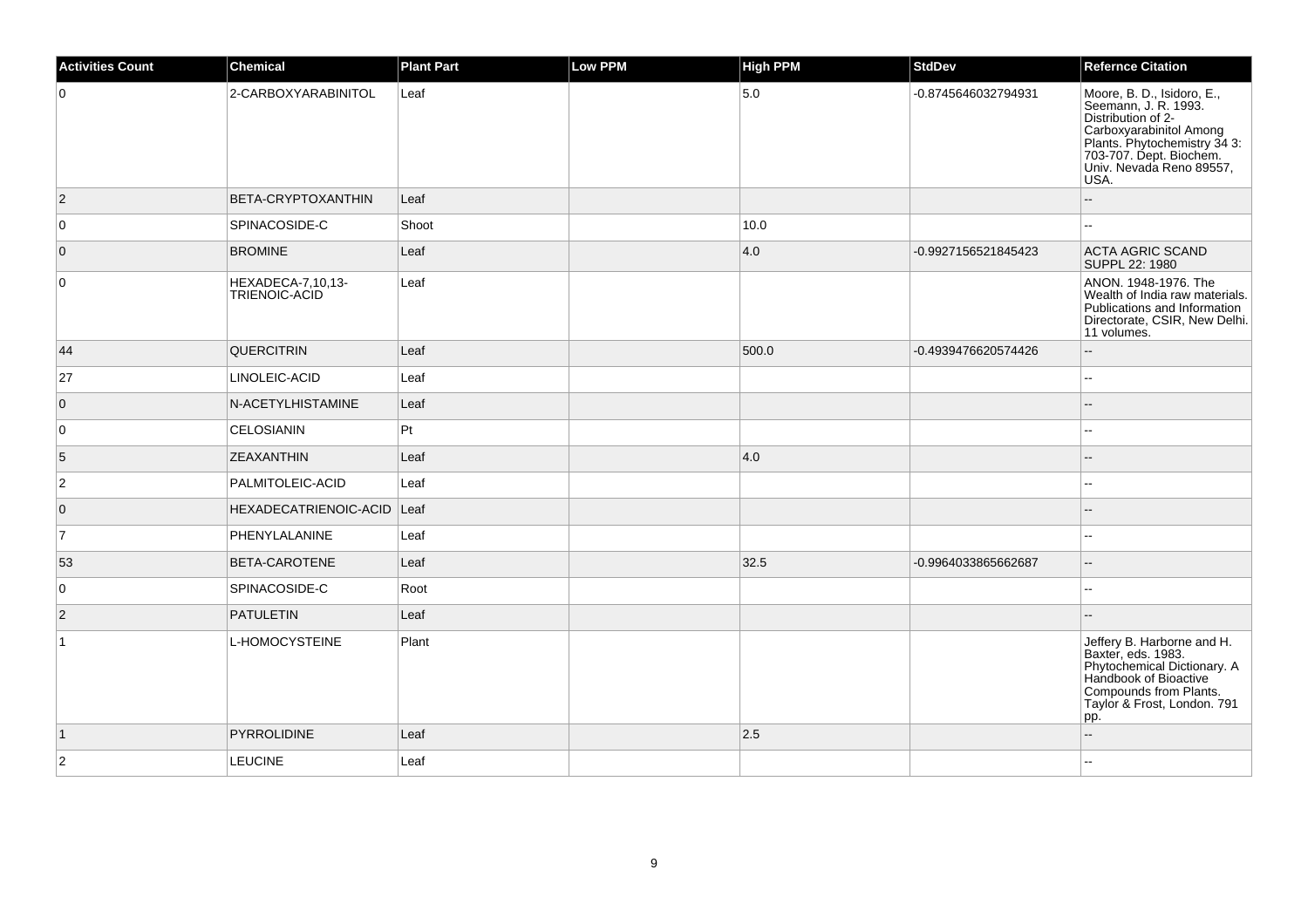| <b>Activities Count</b> | <b>Chemical</b>                    | <b>Plant Part</b> | <b>Low PPM</b> | <b>High PPM</b> | <b>StdDev</b>       | <b>Refernce Citation</b>                                                                                                                                                                           |
|-------------------------|------------------------------------|-------------------|----------------|-----------------|---------------------|----------------------------------------------------------------------------------------------------------------------------------------------------------------------------------------------------|
| $\mathbf 0$             | 2-CARBOXYARABINITOL                | Leaf              |                | 5.0             | -0.8745646032794931 | Moore, B. D., Isidoro, E.,<br>Seemann, J. R. 1993.<br>Distribution of 2-<br>Carboxyarabinitol Among<br>Plants. Phytochemistry 34 3:<br>703-707. Dept. Biochem.<br>Univ. Nevada Reno 89557,<br>USA. |
| $\overline{2}$          | <b>BETA-CRYPTOXANTHIN</b>          | Leaf              |                |                 |                     |                                                                                                                                                                                                    |
| 0                       | SPINACOSIDE-C                      | Shoot             |                | 10.0            |                     | $\sim$                                                                                                                                                                                             |
| $\overline{0}$          | <b>BROMINE</b>                     | Leaf              |                | 4.0             | -0.9927156521845423 | <b>ACTA AGRIC SCAND</b><br>SUPPL 22: 1980                                                                                                                                                          |
| $\mathbf 0$             | HEXADECA-7,10,13-<br>TRIENOIC-ACID | Leaf              |                |                 |                     | ANON, 1948-1976. The<br>Wealth of India raw materials.<br>Publications and Information<br>Directorate, CSIR, New Delhi.<br>11 volumes.                                                             |
| 44                      | <b>QUERCITRIN</b>                  | Leaf              |                | 500.0           | -0.4939476620574426 | $\sim$                                                                                                                                                                                             |
| 27                      | LINOLEIC-ACID                      | Leaf              |                |                 |                     | $\sim$                                                                                                                                                                                             |
| $\overline{0}$          | N-ACETYLHISTAMINE                  | Leaf              |                |                 |                     |                                                                                                                                                                                                    |
| 0                       | <b>CELOSIANIN</b>                  | Pt                |                |                 |                     |                                                                                                                                                                                                    |
| 5                       | <b>ZEAXANTHIN</b>                  | Leaf              |                | 4.0             |                     |                                                                                                                                                                                                    |
| $\overline{c}$          | PALMITOLEIC-ACID                   | Leaf              |                |                 |                     | $\overline{\phantom{a}}$                                                                                                                                                                           |
| $\overline{0}$          | HEXADECATRIENOIC-ACID Leaf         |                   |                |                 |                     |                                                                                                                                                                                                    |
| 7                       | PHENYLALANINE                      | Leaf              |                |                 |                     |                                                                                                                                                                                                    |
| 53                      | <b>BETA-CAROTENE</b>               | Leaf              |                | 32.5            | -0.9964033865662687 | $\sim$                                                                                                                                                                                             |
| $\mathbf 0$             | SPINACOSIDE-C                      | Root              |                |                 |                     | $\overline{\phantom{a}}$                                                                                                                                                                           |
| $\vert$ 2               | PATULETIN                          | Leaf              |                |                 |                     |                                                                                                                                                                                                    |
| $\mathbf{1}$            | L-HOMOCYSTEINE                     | Plant             |                |                 |                     | Jeffery B. Harborne and H.<br>Baxter, eds. 1983.<br>Phytochemical Dictionary. A<br>Handbook of Bioactive<br>Compounds from Plants.<br>Taylor & Frost, London. 791<br>pp.                           |
| $\vert$ 1               | PYRROLIDINE                        | Leaf              |                | 2.5             |                     | $\sim$                                                                                                                                                                                             |
| $\overline{2}$          | <b>LEUCINE</b>                     | Leaf              |                |                 |                     |                                                                                                                                                                                                    |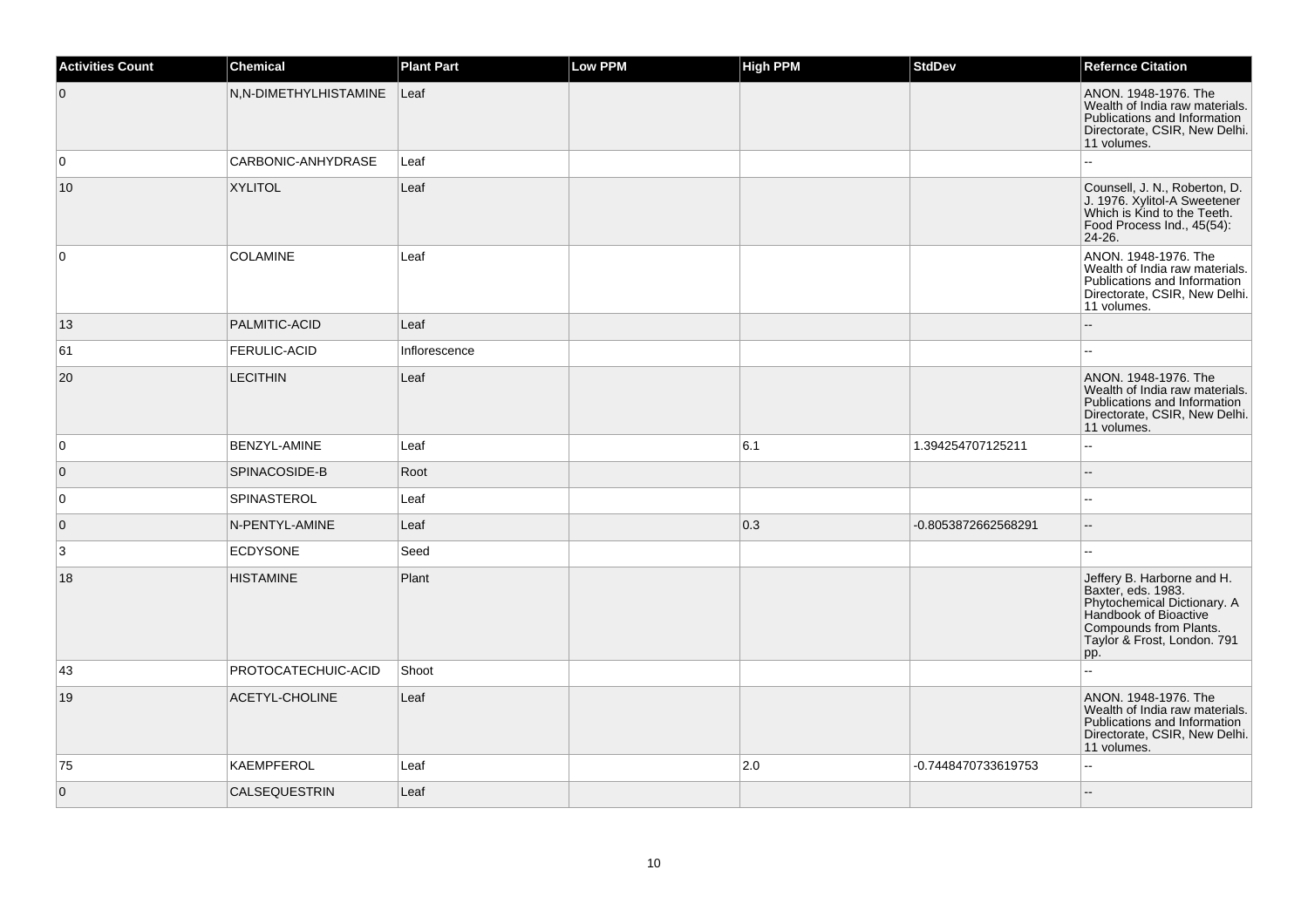| <b>Activities Count</b> | Chemical              | <b>Plant Part</b> | Low PPM | <b>High PPM</b> | <b>StdDev</b>       | <b>Refernce Citation</b>                                                                                                                                                 |
|-------------------------|-----------------------|-------------------|---------|-----------------|---------------------|--------------------------------------------------------------------------------------------------------------------------------------------------------------------------|
| $\overline{0}$          | N,N-DIMETHYLHISTAMINE | $ $ Leaf          |         |                 |                     | ANON. 1948-1976. The<br>Wealth of India raw materials.<br>Publications and Information<br>Directorate, CSIR, New Delhi.<br>11 volumes.                                   |
| $\overline{0}$          | CARBONIC-ANHYDRASE    | Leaf              |         |                 |                     |                                                                                                                                                                          |
| 10                      | <b>XYLITOL</b>        | Leaf              |         |                 |                     | Counsell, J. N., Roberton, D.<br>J. 1976. Xylitol-A Sweetener<br>Which is Kind to the Teeth.<br>Food Process Ind., 45(54):<br>24-26.                                     |
| $\overline{0}$          | <b>COLAMINE</b>       | Leaf              |         |                 |                     | ANON. 1948-1976. The<br>Wealth of India raw materials.<br>Publications and Information<br>Directorate, CSIR, New Delhi.<br>11 volumes.                                   |
| 13                      | PALMITIC-ACID         | Leaf              |         |                 |                     |                                                                                                                                                                          |
| 61                      | <b>FERULIC-ACID</b>   | Inflorescence     |         |                 |                     | шш.                                                                                                                                                                      |
| 20                      | <b>LECITHIN</b>       | Leaf              |         |                 |                     | ANON. 1948-1976. The<br>Wealth of India raw materials.<br>Publications and Information<br>Directorate, CSIR, New Delhi.<br>11 volumes.                                   |
| $\overline{0}$          | BENZYL-AMINE          | Leaf              |         | 6.1             | 1.394254707125211   | L.                                                                                                                                                                       |
| $\overline{0}$          | SPINACOSIDE-B         | Root              |         |                 |                     | $-$                                                                                                                                                                      |
| 0                       | SPINASTEROL           | Leaf              |         |                 |                     | L.                                                                                                                                                                       |
| $\overline{0}$          | N-PENTYL-AMINE        | Leaf              |         | 0.3             | -0.8053872662568291 | $-$                                                                                                                                                                      |
| 3                       | <b>ECDYSONE</b>       | Seed              |         |                 |                     |                                                                                                                                                                          |
| 18                      | <b>HISTAMINE</b>      | Plant             |         |                 |                     | Jeffery B. Harborne and H.<br>Baxter, eds. 1983.<br>Phytochemical Dictionary. A<br>Handbook of Bioactive<br>Compounds from Plants.<br>Taylor & Frost, London. 791<br>pp. |
| 43                      | PROTOCATECHUIC-ACID   | Shoot             |         |                 |                     | ă.                                                                                                                                                                       |
| 19                      | ACETYL-CHOLINE        | Leaf              |         |                 |                     | ANON, 1948-1976, The<br>Wealth of India raw materials.<br>Publications and Information<br>Directorate, CSIR, New Delhi.<br>11 volumes.                                   |
| 75                      | <b>KAEMPFEROL</b>     | Leaf              |         | 2.0             | -0.7448470733619753 | ă.                                                                                                                                                                       |
| $\overline{0}$          | <b>CALSEQUESTRIN</b>  | Leaf              |         |                 |                     | $-$                                                                                                                                                                      |